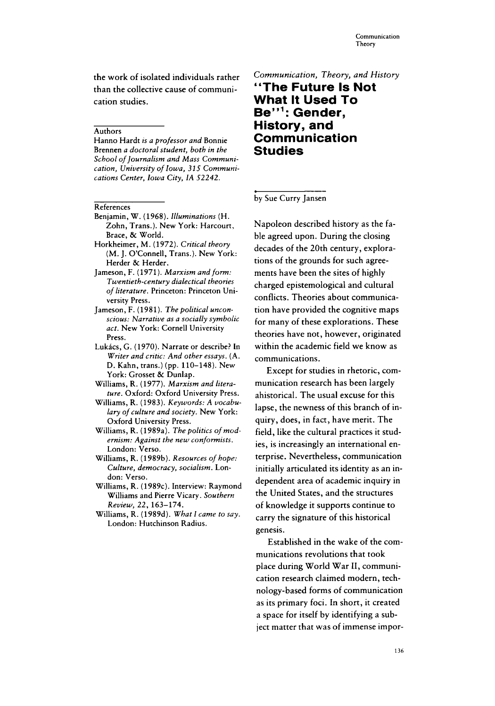the work of isolated individuals rather than the collective cause of communication studies.

#### **Authors**

Hanno **Hardt** *is a professor and* **Bonnie Brennen** *a doctoral student, both in the School of Journalism and Mass Communication, University of lowa, 315 Communications Center, lowa City, IA* **52242.** 

### **References**

- **Benjamin, W. (1968).** *Illuminations* **(H. Zohn, Trans.). New York: Harcourt, Brace,** & **World.**
- **(M.** J. **O'Connell, Trans.). New York: Herder** & **Herder. Horkheimer,** M. **(1972).** *Critical theory*
- *Twentieth-century dialectical theories of literature.* **Princeton: Princeton University Press. Jameson,** F. **(1971).** *Marxism and form:*
- **Jameson, F. (1981).** *The political unconscious: Narrative as a socially symbolic act.* **New York: Cornell University Press.**
- **Lukacs,** G. **(1970). Narrate or describe? In**  *Writer and critic: And other essays.* **(A. D. Kahn, trans.) (pp. 110-148). New York: Grosset** & **Dunlap.**
- **Williams, R. (1977).** *Marxism and literature.* **Oxford: Oxford University Press.**
- **Williams, R. (1983).** *Keywords:* **A** *voca6ulary of culture and society.* **New York: Oxford University Press.**
- **Williams, R. (1989a).** *The politics of modernism: Against the new conformists.*  **London: Verso.**
- *Culture, democracy, socialism.* Lon**don: Verso. Williams, R. (1989b).** *Resources of hope:*
- Williams, R. (1989c). Interview: Raymond **Williams and Pierre Vicary.** *Southern Review,* **22,163-174.**
- **London: Hutchinson Radius. Williams, R. (1989d).** *What I came to say.*

*Communication, Theory, and History* 

# **"The Future Is Not What It Used To Be"': Gender, History, and Communication Studies**

### **by Sue Curry Jansen**

Napoleon described history as the fable agreed upon. During the closing decades of the 20th century, explorations of the grounds for such agreements have been the sites of highly charged epistemological and cultural conflicts. Theories about communication have provided the cognitive maps for many of these explorations. These theories have not, however, originated within the academic field we know as communications.

munication research has been largely ahistorical. The usual excuse for this lapse, the newness of this branch of inquiry, does, in fact, have merit. The field, like the cultural practices it studies, is increasingly an international enterprise. Nevertheless, communication initially articulated its identity as an independent area of academic inquiry in the United States, and the structures of knowledge it supports continue **to**  carry the signature of this historical genesis. Except for studies in rhetoric, com-

munications revolutions that took place during World War 11, communication research claimed modern, technology-based forms of communication as its primary foci. In short, it created a space for itself by identifying a subject matter that was of immense **impor-**Established in the wake of the com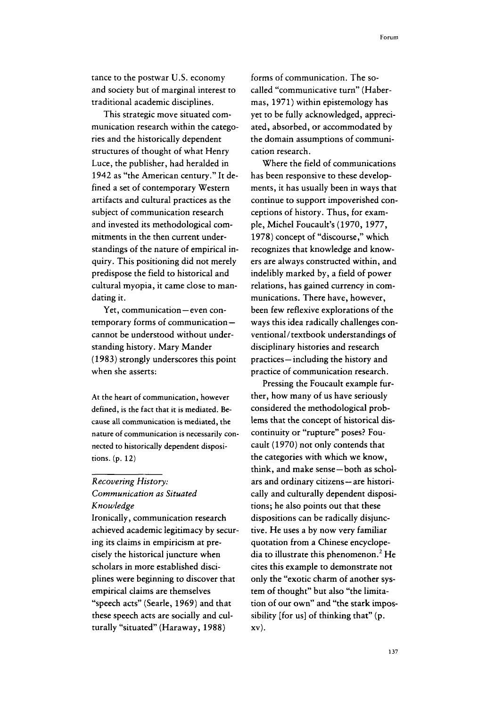tance to the postwar **U.S.** economy and society but of marginal interest to traditional academic disciplines.

This strategic move situated communication research within the categories and the historically dependent structures of thought of what Henry Luce, the publisher, had heralded in **1942** as "the American century." It defined a set of contemporary Western artifacts and cultural practices as the subject of communication research and invested its methodological commitments in the then current understandings of the nature of empirical inquiry. This positioning did not merely predispose the field to historical and cultural myopia, it came close to mandating it.

Yet, communication-even contemporary forms of communicationcannot be understood without understanding history. Mary Mander **(1983)** strongly underscores this point when she asserts:

**At the heart** of **communication, however defined, is the fact that it is mediated. Because all communication is mediated, the nature** of **communication is necessarily** con**nected to historically dependent dispositions. (p. 12)** 

# *Recovering History: Communication as Situated Knowledge*

Ironically, communication research achieved academic legitimacy by securing its claims in empiricism at precisely the historical juncture when scholars in more established disciplines were beginning to discover that empirical claims are themselves "speech acts" (Searle, **1969)** and that these speech acts are socially and culturally "situated" (Haraway, **1988)** 

forms of communication. The **so**called "communicative turn" (Habermas, **1971)** within epistemology has yet to be fully acknowledged, appreciated, absorbed, or accommodated by the domain assumptions of communication research.

Where the field of communications has been responsive to these developments, it has usually been in ways that continue to support impoverished conceptions of history. Thus, for example, Michel Foucault's **(1970, 1977, 1978)** concept of "discourse," which recognizes that knowledge and knowers are always constructed within, and indelibly marked by, a field of power relations, has gained currency in communications. There have, however, been few reflexive explorations of the ways this idea radically challenges conventional/textbook understandings of disciplinary histories and research practices- including the history and practice of communication research.

ther, how many of **us** have seriously considered the methodological problems that the concept of historical discontinuity or "rupture" poses? Foucault **(1970)** not only contends that the categories with which we know, think, and make sense-both as scholars and ordinary citizens- are historically and culturally dependent dispositions; he also points out that these dispositions can be radically disjunctive. He uses a by now very familiar quotation from a Chinese encyclopedia to illustrate this phenomenon.' He cites this example to demonstrate not only the "exotic charm of another system of thought" but also "the limitation of our own" and "the stark impossibility [for **us]** of thinking that" (p. xv). Pressing the Foucault example fur-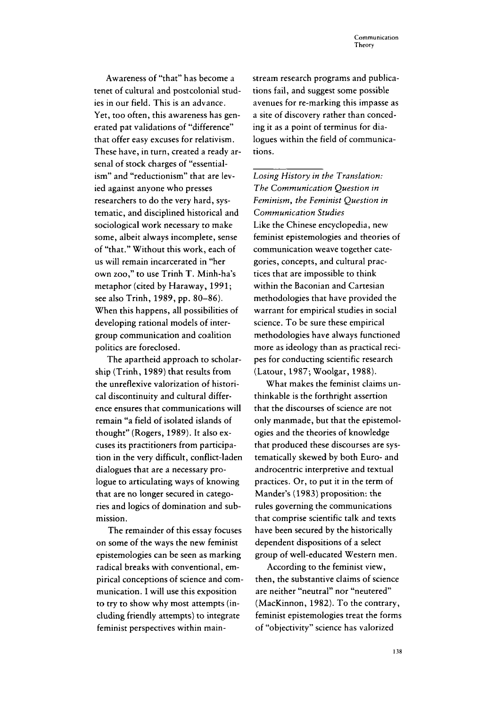Awareness of "that" has become a tenet of cultural and postcolonial studies in our field. This is an advance. Yet, too often, this awareness has generated pat validations of "difference" that offer easy excuses for relativism. These have, in turn, created a ready arsenal of stock charges of "essentialism" and "reductionism" that are levied against anyone who presses researchers to do the very hard, systematic, and disciplined historical and sociological work necessary to make some, albeit always incomplete, sense of "that." Without this work, each of us will remain incarcerated in "her own zoo," to use Trinh **T.** Minh-ha's metaphor (cited by Haraway, **1991;**  see also Trinh, **1989,** pp. **80-86).**  When this happens, all possibilities of developing rational models of intergroup communication and coalition politics are foreclosed.

ship (Trinh, **1989)** that results from the unreflexive valorization of historical discontinuity and cultural difference ensures that communications will remain "a field of isolated islands of thought" (Rogers, **1989).** It also excuses its practitioners from participation in the very difficult, conflict-laden dialogues that are a necessary prologue to articulating ways of knowing that are no longer secured in categories and logics of domination and submission. The apartheid approach to scholar-

The remainder of this essay focuses on some of the ways the new feminist epistemologies can be seen as marking radical breaks with conventional, empirical conceptions of science and communication. I will use this exposition to try to show why most attempts (including friendly attempts) to integrate feminist perspectives within mainstream research programs and publications fail, and suggest some possible avenues for re-marking this impasse as a site of discovery rather than conceding it as a point of terminus for dialogues within the field of communications.

*Losing History in the Translation: The Communication Question in Feminism, the Feminist Question in Communication Studies*  Like the Chinese encyclopedia, new feminist epistemologies and theories of communication weave together categories, concepts, and cultural practices that are impossible to think within the Baconian and Cartesian methodologies that have provided the warrant for empirical studies in social science. To be sure these empirical methodologies have always functioned more as ideology than as practical recipes for conducting scientific research (Latour, **1987;** Woolgar, **1988).** 

thinkable is the forthright assertion that the discourses of science are not only manmade, but that the epistemologies and the theories of knowledge that produced these discourses are **sys**tematically skewed by both Euro- and androcentric interpretive and textual practices. Or, to put it in the term of Mander's **(1983)** proposition: the rules governing the communications that comprise scientific talk and texts have been secured by the historically dependent dispositions of a select group of well-educated Western men. What makes the feminist claims un-

According to the feminist view, then, the substantive claims of science are neither "neutral" nor "neutered" (MacKinnon, **1982).** To the contrary, feminist epistemologies treat the forms of "objectivity" science has valorized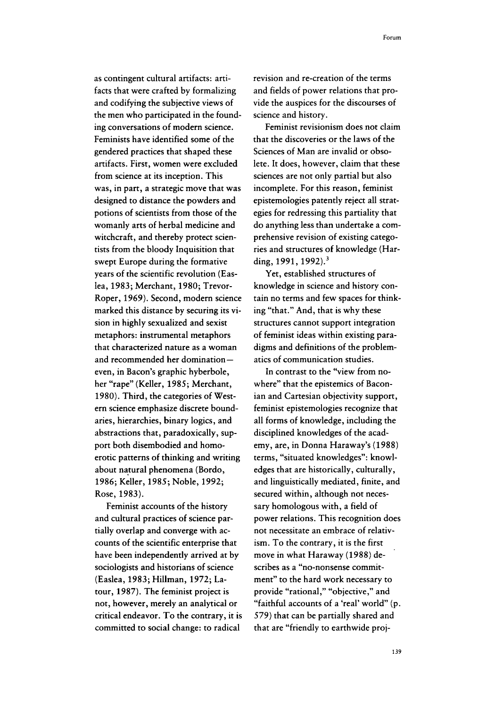as contingent cultural artifacts: artifacts that were crafted by formalizing and codifying the subjective views of the men who participated in the founding conversations of modem science. Feminists have identified some of the gendered practices that shaped these artifacts. First, women were excluded from science at its inception. This was, in part, a strategic move that was designed to distance the powders and potions of scientists from those of the womanly arts of herbal medicine and witchcraft, and thereby protect scientists from the bloody Inquisition that swept Europe during the formative years of the scientific revolution (Easlea, **1983;** Merchant, **1980;** Trevor-Roper, **1969).** Second, modern science marked this distance by securing its vision in highly sexualized and sexist metaphors: instrumental metaphors that characterized nature as a woman and recommended her dominationeven, in Bacon's graphic hyberbole, her "rape" (Keller, **1985;** Merchant, **1980).** Third, the categories of Westem science emphasize discrete boundaries, hierarchies, binary logics, and abstractions that, paradoxically, support both disembodied and homoerotic patterns of thinking and writing about natural phenomena (Bordo, **1986;** Keller, **1985;** Noble, **1992;**  Rose, **1983).** 

Feminist accounts of the history and cultural practices of science partially overlap and converge with accounts of the scientific enterprise that have been independently arrived at by sociologists and historians of science (Easlea, **1983;** Hillman, **1972;** Latour, **1987).** The feminist project is not, however, merely an analytical or critical endeavor. To the contrary, it is committed to social change: to radical

revision and re-creation of the terms and fields of power relations that provide the auspices for the discourses of science and history.

that the discoveries or the laws of the Sciences of Man are invalid or obsolete. It does, however, claim that these sciences are not only partial but also incomplete. For this reason, feminist epistemologies patently reject all strategies for redressing this partiality that do anything less than undertake a comprehensive revision of existing categories and structures of knowledge (Harding, **1991, 1992).3**  Feminist revisionism does not claim

knowledge in science and history contain no terms and few spaces for thinking "that." And, that is why these structures cannot support integration of feminist ideas within existing paradigms and definitions of the problematics of communication studies. Yet, established structures of

In contrast to the "view from nowhere" that the epistemics of Baconian and Cartesian objectivity support, feminist epistemologies recognize that all forms of knowledge, including the disciplined knowledges of the academy, are, in Donna Haraway's **(1 988)**  terms, "situated knowledges": knowledges that are historically, culturally, and linguistically mediated, finite, and secured within, although not necessary homologous with, a field of power relations. This recognition does not necessitate an embrace of relativism. To the contrary, it is the first move in what Haraway **(1988)** describes as a "no-nonsense commitment" to the hard work necessary to provide "rational," "objective," and "faithful accounts of a 'real' world" (p. **579)** that can be partially shared and that are "friendly to earthwide proj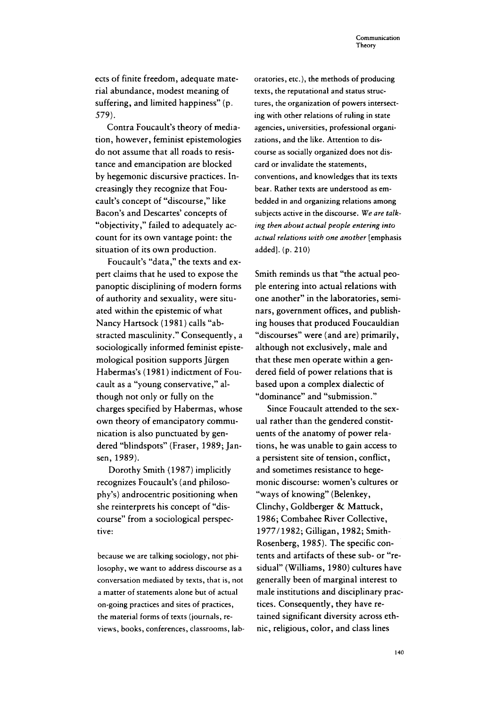ects of finite freedom, adequate material abundance, modest meaning of suffering, and limited happiness" (p. **579).** 

Contra Foucault's theory of mediation, however, feminist epistemologies do not assume that all roads to resistance and emancipation are blocked by hegemonic discursive practices. Increasingly they recognize that Foucault's concept of "discourse," like Bacon's and Descartes' concepts of "objectivity," failed to adequately account for its own vantage point: the situation of its own production.

Foucault's "data," the texts and expert claims that he used to expose the panoptic disciplining of modern forms of authority and sexuality, were situated within the epistemic of what Nancy Hartsock **(1981)** calls "abstracted masculinity." Consequently, a sociologically informed feminist epistemological position supports Jiirgen Habermas's **(1981)** indictment of Foucault as a "young conservative," although not only or fully on the charges specified by Habermas, whose own theory **of** emancipatory communication is also punctuated by gendered "blindspots" (Fraser, **1989;** Jansen, **1989).** 

Dorothy Smith **(1987)** implicitly recognizes Foucault's (and philosophy's) androcentric positioning when she reinterprets his concept of "discourse" from a sociological perspective:

because we are talking sociology, not philosophy, we want to address discourse as a conversation mediated by texts, that is, **not**  a matter of statements alone but of actual on-going practices and sites of practices, the material forms of texts (journals, reviews, books, conferences, classrooms, laboratories, etc.), the methods of producing texts, the reputational and status structures, the organization of powers intersecting with other relations of ruling in state agencies, universities, professional organizations, and the like. Attention to discourse as socially organized does not discard or invalidate the statements, conventions, and knowledges that its texts bear. Rather texts are understood as embedded in and organizing relations among subjects active in the discourse. **We** *are talking then about actual people entering into actual relations with one another* [emphasis added]. (p. **210)** 

Smith reminds us that "the actual people entering into actual relations with one another" in the laboratories, seminars, government offices, and publishing houses that produced Foucauldian "discourses" were (and are) primarily, although not exclusively, male and that these men operate within a gendered field of power relations that is based upon a complex dialectic of "dominance" and "submission ."

ual rather than the gendered constituents of the anatomy of power relations, he was unable to gain access to a persistent site of tension, conflict, and sometimes resistance to hegemonic discourse: women's cultures or "ways of knowing" (Belenkey, Clinchy, Goldberger & Mattuck, **1986;** Combahee River Collective, **1977/1982;** Gilligan, **1982;** Smith-Rosenberg, **1985).** The specific contents and artifacts of these sub- or "residual" (Williams, **1980)** cultures have generally been of marginal interest to male institutions and disciplinary practices. Consequently, they have retained significant diversity across ethnic, religious, color, and class lines Since Foucault attended to the sex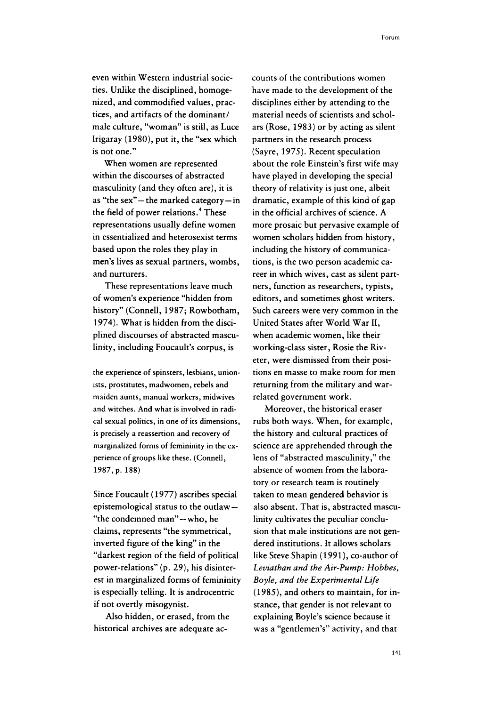even within Western industrial societies. Unlike the disciplined, homogenized, and commodified values, practices, and artifacts of the dominant/ male culture, "woman" is still, as Luce Irigaray **(1980),** put it, the "sex which is not one."

When women are represented within the discourses of abstracted masculinity (and they often are), it is as "the sex" $-$  the marked category $-$ in the field of power relations.<sup>4</sup> These representations usually define women in essentialized and heterosexist terms based upon the roles they play in men's lives as sexual partners, wombs, and nurturers.

These representations leave much of women's experience "hidden from history" (Connell, **1987;** Rowbotham, **1974).** What is hidden from the disciplined discourses of abstracted masculinity, including Foucault's corpus, is

**the experience of spinsters, lesbians, unionists, prostitutes, madwomen, rebels and maiden aunts, manual workers, midwives and witches. And what is involved in radical sexual politics, in one of its dimensions, is precisely a reassertion and recovery of marginalized forms of femininity in the experience of groups like these. (Connell, 1987, p. 188)** 

Since Foucault **(1977)** ascribes special epistemological status to the outlaw- "the condemned man"- who, he claims, represents "the symmetrical, inverted figure of the king" in the "darkest region of the field of political power-relations" (p. **29),** his disinterest in marginalized forms of femininity is especially telling. It is androcentric if not overtly misogynist.

Also hidden, or erased, from the historical archives are adequate accounts of the contributions women have made to the development of the disciplines either by attending to the material needs of scientists and scholars (Rose, **1983)** or by acting as silent partners in the research process (Sayre, **1975).** Recent speculation about the role Einstein's first wife may have played in developing the special theory of relativity is just one, albeit dramatic, example of this kind of gap in the official archives of science. A more prosaic but pervasive example of women scholars hidden from history, including the history of communications, is the two person academic career in which wives, cast as silent partners, function as researchers, typists, editors, and sometimes ghost writers. Such careers were very common in the United States after World War **11,**  when academic women, like their working-class sister, Rosie the Riveter, were dismissed from their positions en masse to make room for men returning from the military and warrelated government work.

Moreover, the historical eraser rubs both ways. When, for example, the history and cultural practices of science are apprehended through the lens of "abstracted masculinity," the absence of women from the laboratory or research team is routinely taken to mean gendered behavior is also absent. That is, abstracted masculinity cultivates the peculiar conclusion that male institutions are not gendered institutions. It allows scholars like Steve Shapin **(1991),** co-author of *Leviathan and the Air-Pump: Hobbes, Boyle, and the Experimental Life*  **(1985),** and others to maintain, for instance, that gender is not relevant to explaining Boyle's science because it was a "gentlemen's" activity, and that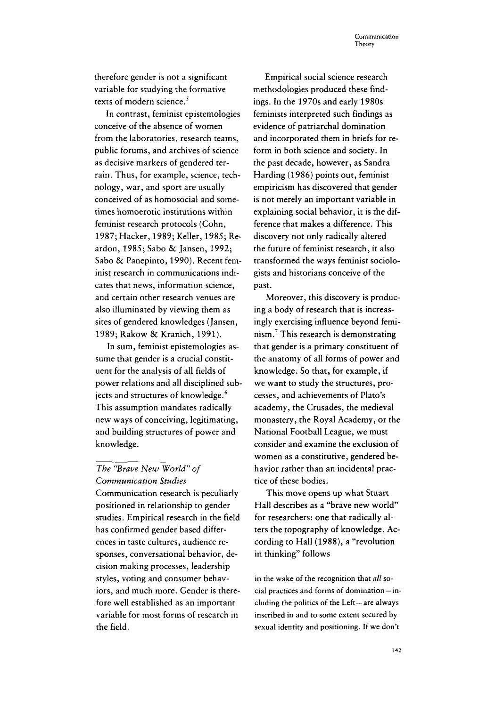therefore gender is not a significant variable for studying the formative texts of modern science.<sup>5</sup>

In contrast, feminist epistemologies conceive of the absence of women from the laboratories, research teams, public forums, and archives of science as decisive markers of gendered terrain. Thus, for example, science, technology, war, and sport are usually conceived of as homosocial and sometimes homoerotic institutions within feminist research protocols (Cohn, 1987; Hacker, 1989; Keller, 1985; Reardon, 1985; Sabo & Jansen, 1992; Sabo & Panepinto, 1990). Recent feminist research in communications indicates that news, information science, and certain other research venues are also illuminated by viewing them as sites of gendered knowledges (Jansen, 1989; Rakow & Kranich, 1991).

In sum, feminist epistemologies assume that gender is a crucial constituent for the analysis of all fields of power relations and all disciplined subjects and structures of knowledge.<sup>6</sup> This assumption mandates radically new ways of conceiving, legitimating, and building structures of power and knowledge.

# *The ''Brave New World" of Communication Studies*

Communication research is peculiarly positioned in relationship to gender studies. Empirical research in the field has confirmed gender based differences in taste cultures, audience responses, conversational behavior, decision making processes, leadership styles, voting and consumer behaviors, and much more. Gender is therefore well established as an important variable for most forms of research in the field.

Empirical social science research methodologies produced these findings. In the 1970s and early 1980s feminists interpreted such findings as evidence of patriarchal domination and incorporated them in briefs for reform in both science and society. In the past decade, however, as Sandra Harding (1986) points out, feminist empiricism has discovered that gender is not merely an important variable in explaining social behavior, it is the difference that makes a difference. This discovery not only radically altered the future of feminist research, it also transformed the ways feminist sociologists and historians conceive of the past.

Moreover, this discovery is producing a body of research that is increasingly exercising influence beyond feminism.' This research is demonstrating that gender is a primary constituent of the anatomy of all forms of power and knowledge. So that, for example, if we want to study the structures, processes, and achievements of Plato's academy, the Crusades, the medieval monastery, the Royal Academy, or the National Football League, we must consider and examine the exclusion of women as a constitutive, gendered behavior rather than an incidental practice of these bodies,

This move opens up what Stuart Hall describes as a "brave new world" for researchers: one that radically alters the topography of knowledge. According to Hall (1988), a "revolution in thinking" follows

in the wake of the recognition that *all* social practices and forms of domination-including the politics of the Left-are always inscribed in and to some extent secured by sexual identity and positioning. If we don't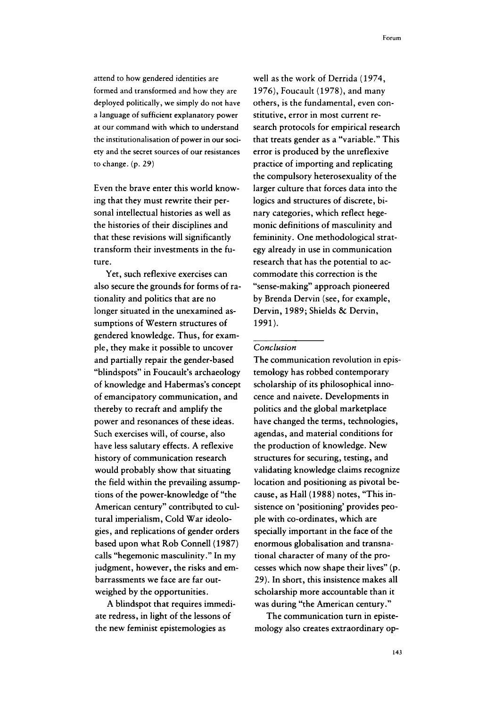attend to how gendered identities are formed and transformed and how they are deployed politically, we simply do not have a language of sufficient explanatory power at our command with which to understand the institutionalisation of power in our society and the secret sources of our resistances to change. (p. 29)

Even the brave enter this world knowing that they must rewrite their personal intellectual histories as well as the histories of their disciplines and that these revisions will significantly transform their investments in the future.

Yet, such reflexive exercises can also secure the grounds for forms of rationality and politics that are no longer situated in the unexamined assumptions of Western structures of gendered knowledge. Thus, for example, they make it possible to uncover and partially repair the gender-based "blindspots" in Foucault's archaeology of knowledge and Habermas's concept of emancipatory communication, and thereby to recraft and amplify the power and resonances of these ideas. Such exercises will, of course, also have less salutary effects. A reflexive history of communication research would probably show that situating the field within the prevailing assumptions of the power-knowledge of "the American century" contributed to cultural imperialism, Cold War ideologies, and replications of gender orders based upon what Rob Connell (1987) calls "hegemonic masculinity." In my judgment, however, the risks and embarrassments we face are far outweighed by the opportunities.

ate redress, in light of the lessons of the new feminist epistemologies as A blindspot that requires immediwell as the work of Derrida (1974, 1976), Foucault (1978), and many others, is the fundamental, even constitutive, error in most current research protocols for empirical research that treats gender as a "variable." This error is produced by the unreflexive practice of importing and replicating the compulsory heterosexuality of the larger culture that forces data into the logics and structures of discrete, binary categories, which reflect hegemonic definitions of masculinity and femininity. One methodological strategy already in use in communication research that has the potential to accommodate this correction is the "sense-making'' approach pioneered by Brenda Dervin (see, for example, Dervin, 1989; Shields & Dervin, 1991).

#### Conclusion

The communication revolution in epistemology has robbed contemporary scholarship of its philosophical innocence and naivete. Developments in politics and the global marketplace have changed the terms, technologies, agendas, and material conditions for the production of knowledge. New structures for securing, testing, and validating knowledge claims recognize location and positioning as pivotal because, as Hall (1988) notes, "This insistence on 'positioning' provides people with co-ordinates, which are specially important in the face of the enormous globalisation and transnational character of many of the processes which now shape their lives" (p. 29). In short, this insistence makes all scholarship more accountable than it was during "the American century."

The communication turn in epistemology also creates extraordinary op-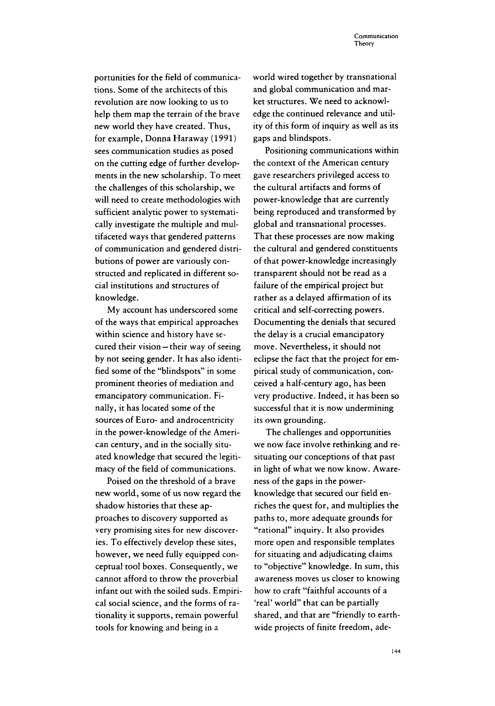portunities for the field of communications. Some of the architects of this revolution are now looking to us to help them map the terrain of the brave new world they have created. Thus, for example, Donna Haraway (1991) sees communication studies as posed on the cutting edge of further developments in the new scholarship. To meet the challenges of this scholarship, we will need to create methodologies with sufficient analytic power to systematically investigate the multiple and multifaceted ways that gendered patterns of communication and gendered distributions of power are variously constructed and replicated in different social institutions and structures of knowledge.

My account has underscored some of the ways that empirical approaches within science and history have *se*cured their vision  $-$  their way of seeing by not seeing gender. It has also identified some of the "blindspots" in some prominent theories of mediation and emancipatory communication. Finally, it has located some of the sources of Euro- and androcentricity in the power-knowledge of the American century, and in the socially situated knowledge that secured the legitimacy of the field of communications.

Poised on the threshold of a brave new world, some of us now regard the shadow histories that these approaches to discovery supported as very promising sites for new discoveries. To effectively develop these sites, however, we need fully equipped conceptual tool boxes. Consequently, we cannot afford to throw the proverbial infant out with the soiled suds. Empirical social science, and the forms of rationality it supports, remain powerful tools for knowing and being in a

world wired together by transnational and global communication and market structures. We need to acknowledge the continued relevance and utility of this form of inquiry as well as its gaps and blindspots.

Positioning communications within the context of the American century gave researchers privileged access to the cultural artifacts and forms of power-knowledge that are currently being reproduced and transformed by global and transnational processes. That these processes are now making the cultural and gendered constituents of that power-knowledge increasingly transparent should not be read as a failure of the empirical project but rather as a delayed affirmation of its critical and self-correcting powers. Documenting the denials that secured the delay is a crucial emancipatory move. Nevertheless, it should not eclipse the fact that the project for empirical study of communication, conceived a half-century ago, has been very productive. Indeed, it has been so successful that it is now undermining its own grounding.

The challenges and opportunities we now face involve rethinking and resituating our conceptions of that past in light of what we now know. Awareness of the gaps in the powerknowledge that secured our field enriches the quest for, and multiplies the paths to, more adequate grounds for "rational" inquiry. **It** also provides more open and responsible templates for situating and adjudicating claims to "objective" knowledge. In sum, this awareness moves us closer to knowing how to craft "faithful accounts of a 'real' world" that can be partially shared, and that are "friendly to earthwide projects of finite freedom, ade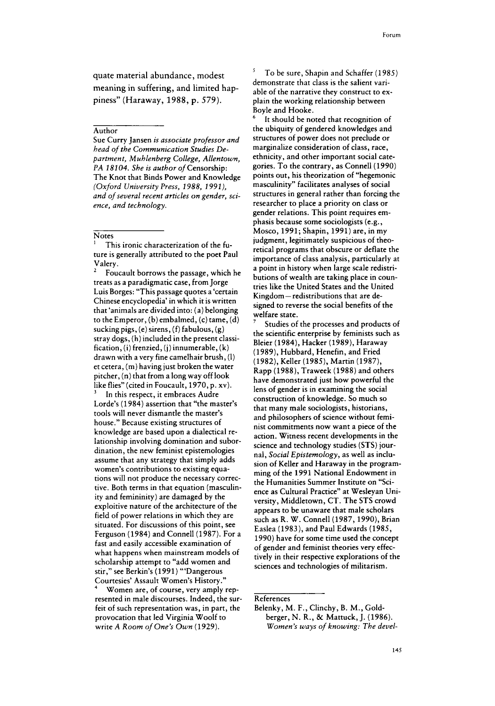quate material abundance, modest meaning in suffering, and limited happiness" (Haraway, **1988,** p. **579).** 

#### Author

Sue Curry Jansen *is associate professor and head of the Communication Studies Department, M uhlenberg College, Allentown, FA* 181 *04. She is author of* Censorship: The Knot that Binds Power and Knowledge *(Oxford University Press,* 1988, 1991), *and of several recent articles on gender, science, and technology.* 

#### Notes

ture is generally attributed to the poet Paul Valery. This ironic characterization of the fu-

treats as a paradigmatic case, from Jorge Luis Borges: "This passage quotes a 'certain Chinese encyclopedia' in which it is written that 'animals are divided into: (a) belonging to the Emperor, (b) embalmed, (c) tame, (d) sucking pigs,  $(e)$  sirens,  $(f)$  fabulous,  $(g)$ stray dogs, (h) included in the present classification, (i) frenzied, (j) innumerable, (k) drawn with a very fine camelhair brush, (1) etcetera, (m) having just broken the water pitcher, (n) that from a long way off look like flies" (cited in Foucault, 1970, p. xv). Foucault borrows the passage, which he

In this respect, it embraces Audre Lorde's (1 984) assertion that "the master's tools will never dismantle the master's house." Because existing structures of knowledge are based upon a dialectical relationship involving domination and subordination, the new feminist epistemologies assume that any strategy that simply adds women's contributions to existing equations will not produce the necessary corrective. Both terms in that equation (masculinity and femininity) are damaged by the exploitive nature of the architecture of the field of power relations in which they are situated. For discussions of this point, see Ferguson (1984) and Connell (1987). For a fast and easily accessible examination of what happens when mainstream models of scholarship attempt to "add women and stir," see Berkin's (1991) "'Dangerous Courtesies' Assault Women's History."

Women are, of course, very amply represented in male discourses. Indeed, the **sur**feit of such representation was, in part, the provocation that led Virginia Woolf to write *A Room of One's Own* (1929).

demonstrate that class is the salient variable of the narrative they construct to explain the working relationship between Boyle and Hooke.

It should be noted that recognition of the ubiquity of gendered knowledges and structures of power does not preclude or marginalize consideration of class, race, ethnicity, and other important social categories. To the contrary, as Connell (1990) points out, his theorization of "hegemonic masculinity" facilitates analyses of social structures in general rather than forcing the researcher to place a priority on class or gender relations. This point requires emphasis because some sociologists (e.g., Mosco, 1991; Shapin, 1991) are, in my judgment, legitimately suspicious of theoretical programs that obscure or deflate the importance of class analysis, particularly at a point in history when large scale redistributions of wealth are taking place in countries like the United States and the United Kingdom-redistributions that are designed to reverse the social benefits of the welfare state.<br> $\frac{7}{1}$  Studies of the processes and products of

the scientific enterprise by feminists such as Bleier (1984), Hacker (1989), Haraway (1989), Hubbard, Henefin, and Fried (1982), Keller (1985), Martin (1987), Rapp (1988), Traweek (1988) and others have demonstrated just how powerful the lens of gender is in examining the social construction of knowledge. So much so that many male sociologists, historians, and philosophers of science without feminist commitments now want a piece of the action. Witness recent developments in the science and technology studies (STS) journal, *Social Epistemology,* as well as inclusion of Keller and Haraway in the programming of the 1991 National Endowment in the Humanities Summer Institute on "Science as Cultural Practice" at Wesleyan University, Middletown, CT. The STS crowd appears to be unaware that male scholars such as R. W. Connell (1987, 1990), Brian Easlea (1983), and Paul Edwards (1985, 1990) have for some time used the concept of gender and feminist theories very effectively in their respective explorations of the sciences and technologies of militarism.

References

Belenky, M. F., Clinchy, B. M., Goldberger, N. R., & Mattuck, J. (1986). *Women's ways of knowing: The devel-*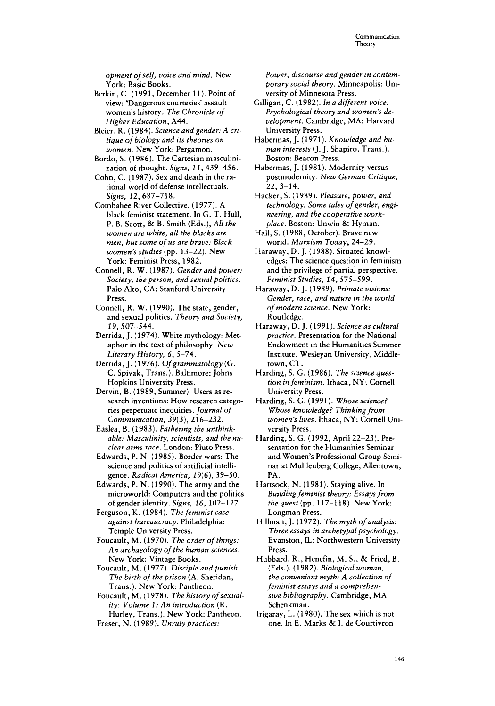*opment of self, voice and mind.* New York: Basic Books.

- Berkin, C. **(1991,** December **11).** Point of view: 'Dangerous courtesies' assault women's history. *The Chronicle of Higher Education,* **A44.**
- *tique of biology and its theories on women.* New York: Pergamon. Bleier, R. **(1984).** *Science and gender: A cri-*
- Bordo, S. **(1986).** The Cartesian masculinization of thought. *Signs,* **11,439-456.**
- Cohn, C. **(1987).** Sex and death in the rational world of defense intellectuals. *Signs,* **12,687-718.**
- black feminist statement. In G. T. Hull, P. B. Scott, & B. Smith (Eds.), *All the women are white, all the blacks are men, but some of us are brave: Black women's studies* (pp. **13-22).** New York: Feminist Press, **1982.**  Combahee River Collective. **(1977).** A
- Connell, R. W. **(1987).** *Genderand power: Society, the person, and sexual politics.*  Palo Alto, CA: Stanford University Press.
- Connell, R. W. **(1990).** The state, gender, and sexual politics. *Theory and Society,*  **19,507-544.**
- Derrida, J. **(1974).** White mythology: Metaphor in the text of philosophy. *New Literary History,* **6, 5-74.**
- Derrida, J. **(1976).** *Ofgrammatology* (G. C. Spivak, Trans.). Baltimore: Johns Hopkins University Press.
- Dervin, B. **(1989,** Summer). Users as research inventions: How research categories perpetuate inequities. *Journal of Communication,* **39(3), 216-232.**
- Easlea, B. **(1983).** *Fathering the unthinkable: Masculinity, scientists, and the nuclear arms race.* London: Pluto Press.
- Edwards, P. N. **(1985).** Border wars: The science and politics of artificial intelligence. *Radical America,* **19(6), 39-50.**
- Edwards, P. N. **(1 990).** The army and the microworld: Computers and the politics of gender identity. *Signs,* 16, **102-127.**
- *against bureaucracy.* Philadelphia: Temple University Press. Ferguson, K. **(1984).** *The feminist case*
- Foucault, M. (1970). The order of things: *An archaeology of the human sciences.*  New York: Vintage Books.
- Foucault, M. **(1977).** *Disciple and punish: The birth of the prison* (A. Sheridan, Trans.). New York: Pantheon.
- Foucault, M. (1978). The history of sexual*ity: Volume I: An introduction* (R. Hurley, Trans.). New York: Pantheon.
- Fraser, N. **(1989).** *Unruly practices:*

*Power, discourse and gender in contemporary social theory.* Minneapolis: University of Minnesota Press.

- *Psychological theory and women's development.* Cambridge, MA: Harvard University Press. Gilligan, C. **(1982).** *In a different voice:*
- Habermas, J. **(1971).** *Knowledge and human interests* (J. J. Shapiro, Trans.). Boston: Beacon Press.
- Habermas, J. **(1981).** Modernity versus postmodernity. *New German Critique,*  **22,3-14.**
- Hacker, S. **(1989).** *Pleasure, power, and technology:* Some *tales of gender, engineering, and the cooperative workplace.* Boston: Unwin & Hyman.
- Hall, S. **(1988,** October). Brave new world. *Marxism Today,* **24-29.**
- Haraway, D. J. **(1988).** Situated knowledges: The science question in feminism and the privilege of partial perspective. *Feminist Studies,* **14,575-599.**
- *Gender, race, and nature in the world of modern science.* New York: Routledge. Haraway, D. J. **(1989).** *Primate visions:*
- Haraway, D. J. **(1991).** *Science as cultural practice.* Presentation for the National Endowment in the Humanities Summer Institute, Wesleyan University, Middletown, CT.
- Harding, S. G. **(1986).** *The science question in feminism.* Ithaca, NY: Cornell University Press.
- *Whose knowledge? Thinking from women's lives.* Ithaca, NY: Cornell University Press. Harding, S. G. **(1991).** *Whose science?*
- Harding, **S.** G. **(1992,** April **22-23).** Presentation for the Humanities Seminar and Women's Professional Group Seminar at Muhlenberg College, Allentown, PA.
- *Building feminist theory: Essays from thequest* (pp. **117-118).** New York: Longman Press. Hartsock, N. **(1981).** Staying alive. In
- Hillman, J. **(1972).** *The myth of analysis: Three essays in archetypal psychology.*  Evanston, IL: Northwestern University Press.
- Hubbard, R., Henefin, M. S., & Fried, B. (Eds.). **(1982).** *Biological woman, the convenient myth: A collection of feminist essays and a comprehensive bibliography.* Cambridge, MA: Schenkman.
- Irigaray, L. **(1980).** The sex which is not one. In E. Marks & I. de Courtivron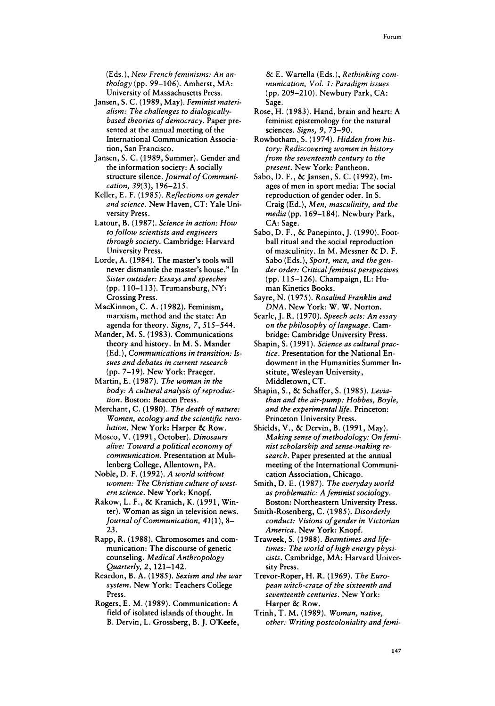(Eds.), *New French femrnisms: An anthology* (pp. **99-106).** Amherst, MA: University of Massachusetts Press.

- Jansen, S. C. (1989, May). Feminist materi*alism: The challenges to dialogicallybased theories of democracy.* Paper presented at the annual meeting of the International Communication Association, San Francisco.
- Jansen, S. C. **(1989,** Summer). Gender and the information society: A socially structure silence. *Journal of Communication,* **39(3), 196-215.**
- Keller, E. F. **(1985).** *Reflections ongender and science.* New Haven, CT: Yale University Press.
- *to follow scientists and engineers through society.* Cambridge: Harvard University Press. Latour, B. **(1987).** *Science in action: How*
- Lorde, A. **(1984).** The master's tools will never dismantle the master's house." In *Sister outsider: Essays and speeches*  (pp. **110-113).** Trumansburg, NY: Crossing Press.
- MacKinnon, C. A. **(1982).** Feminism, marxism, method and the state: An agenda for theory. *Signs,* **7,515-544.**
- Mander, M. S. **(1983).** Communications theory and history. In M. S. Mander (Ed.), *Communications in transition: Issues and debates in current research*  (pp. **7-19).** New York: Praeger.
- Martin, E. **(1987).** *The woman in the body: A cultural analysis of reproduction.* Boston: Beacon Press.
- Merchant, C. (1980). The death of nature: *Women, ecology and the scientific revolution.* New York: Harper & Row.
- Mosco, V. **(1991,** October). *Dinosaurs alive: Toward a political economy of communication.* Presentation at Muhlenberg College, Allentown, PA.
- Noble, D. F. **(1992).** *A world without women: The Christian culture of western science.* New York: Knopf.
- Rakow, L. F., & Kranich, K. **(1991,** Winter). Woman as sign in television news. *Journal of Communication,* **41(1), 8- 23.**
- Rapp, R. **(1988).** Chromosomes and communication: The discourse of genetic counseling. *Medical Anthropology Quarterly, 2,* **121-1 42.**
- Reardon, B. **A. (1985).** *Sexism and the war system.* New York: Teachers College Press.
- Rogers, E. M. **(1989).** Communication: A field of isolated islands of thought. In B. Dervin, L. Grossberg, B. J. O'Keefe,

& E. Wartella (Eds.), *Rethinking communication, Vol. 1* : *Paradigm issues*  (pp. **209-210).** Newbury Park, CA: Sage.

- Rose, H. **(1983).** Hand, brain and heart: A feminist epistemology for the natural sciences. *Signs,* **9, 73-90.**
- Rowbotham, **S. (1 974).** *Hidden from history: Rediscovering women in history from the seventeenth century to the present.* New York: Pantheon.
- Sabo, D. F., & Jansen, S. C. **(1992).** Images of men in sport media: The social reproduction of gender oder. In S. Craig (Ed.), *Men, masculinity, and the media* (pp. **169-184).** Newbury Park, CA: Sage.
- Sabo, D. F., & Panepinto, J. **(1990).** Football ritual and the social reproduction of masculinity. In M. Messner & D. F. Sabo (Eds.), *Sport, men, and thegender order: Critical feminist perspectives*  (pp. **115-126).** Champaign, IL: Human Kinetics Books.
- Sayre, N. **(1975).** *Rosalind Franklin and DNA.* New York: W. W. Norton.
- Searle, J. R. **(1970).** *Speech acts: An essay on the philosophy of language.* Cambridge: Cambridge University Press.
- Shapin, S. **(1991).** *Science as cultural practice.* Presentation for the National Endowment in the Humanities Summer Institute, Wesleyan University, Middletown, CT.
- *than and the air-pump: Hobbes, Boyle, and the experimental life.* Princeton: Princeton University Press. Shapin, S., & Schaffer, S. **(1985).** *Levia-*
- Shields, V., & Dervin, B. **(1991,** May). *Making sense of methodology: On feminist scholarship and sense-making research.* Paper presented at the annual meeting of the International Communication Association, Chicago.
- Smith, D. E. **(1987).** *The everyday world as problematic: A feminist sociology.*  Boston: Northeastern University Press.
- Smith-Rosenberg, C. **(1985).** *Disorderly conduct: Visions of gender in Victorian America.* New York: Knopf.
- *times: The world of high energy physicists.* Cambridge, MA: Harvard University Press. Traweek, S. **(1988).** *Beamtimes and life-*
- Trevor-Roper, H. R. **(1969).** *The European witch-craze of the sixteenth and seventeenth centuries.* New York: Harper & Row.
- *other: Writing postcoloniality and femi-*Trinh, T. M. **(1989).** *Woman, native,*